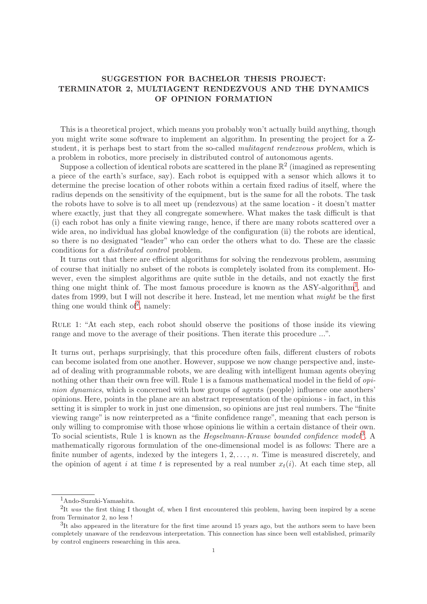## SUGGESTION FOR BACHELOR THESIS PROJECT: TERMINATOR 2, MULTIAGENT RENDEZVOUS AND THE DYNAMICS OF OPINION FORMATION

This is a theoretical project, which means you probably won't actually build anything, though you might write some software to implement an algorithm. In presenting the project for a Zstudent, it is perhaps best to start from the so-called *mulitagent rendezvous problem*, which is a problem in robotics, more precisely in distributed control of autonomous agents.

Suppose a collection of identical robots are scattered in the plane  $\mathbb{R}^2$  (imagined as representing a piece of the earth's surface, say). Each robot is equipped with a sensor which allows it to determine the precise location of other robots within a certain fixed radius of itself, where the radius depends on the sensitivity of the equipment, but is the same for all the robots. The task the robots have to solve is to all meet up (rendezvous) at the same location - it doesn't matter where exactly, just that they all congregate somewhere. What makes the task difficult is that (i) each robot has only a finite viewing range, hence, if there are many robots scattered over a wide area, no individual has global knowledge of the configuration (ii) the robots are identical, so there is no designated "leader" who can order the others what to do. These are the classic conditions for a distributed control problem.

It turns out that there are efficient algorithms for solving the rendezvous problem, assuming of course that initially no subset of the robots is completely isolated from its complement. However, even the simplest algorithms are quite sutble in the details, and not exactly the first thing one might think of. The most famous procedure is known as the ASY-algorithm<sup>[1](#page-0-0)</sup>, and dates from 1999, but I will not describe it here. Instead, let me mention what *might* be the first thing one would think of<sup>[2](#page-0-1)</sup>, namely:

Rule 1: "At each step, each robot should observe the positions of those inside its viewing range and move to the average of their positions. Then iterate this procedure ...".

It turns out, perhaps surprisingly, that this procedure often fails, different clusters of robots can become isolated from one another. However, suppose we now change perspective and, instead of dealing with programmable robots, we are dealing with intelligent human agents obeying nothing other than their own free will. Rule 1 is a famous mathematical model in the field of *opi*nion dynamics, which is concerned with how groups of agents (people) influence one anothers' opinions. Here, points in the plane are an abstract representation of the opinions - in fact, in this setting it is simpler to work in just one dimension, so opinions are just real numbers. The"finite viewing range" is now reinterpreted as a "finite confidence range", meaning that each person is only willing to compromise with those whose opinions lie within a certain distance of their own. To social scientists, Rule 1 is known as the *Hegselmann-Krause bounded confidence model*<sup>[3](#page-0-2)</sup>. A mathematically rigorous formulation of the one-dimensional model is as follows: There are a finite number of agents, indexed by the integers  $1, 2, \ldots, n$ . Time is measured discretely, and the opinion of agent i at time t is represented by a real number  $x_t(i)$ . At each time step, all

<sup>1</sup>Ando-Suzuki-Yamashita.

<span id="page-0-0"></span><sup>&</sup>lt;sup>2</sup>It was the first thing I thought of, when I first encountered this problem, having been inspired by a scene from Terminator 2, no less !

<span id="page-0-2"></span><span id="page-0-1"></span> ${}^{3}$ It also appeared in the literature for the first time around 15 years ago, but the authors seem to have been completely unaware of the rendezvous interpretation. This connection has since been well established, primarily by control engineers researching in this area.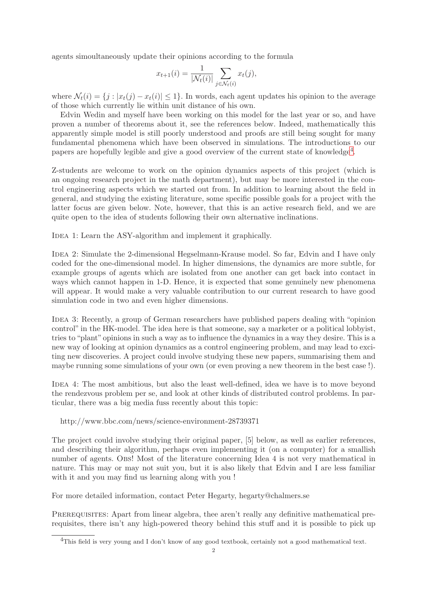agents simoultaneously update their opinions according to the formula

$$
x_{t+1}(i) = \frac{1}{|\mathcal{N}_t(i)|} \sum_{j \in \mathcal{N}_t(i)} x_t(j),
$$

where  $\mathcal{N}_t(i) = \{j : |x_t(j) - x_t(i)| \leq 1\}$ . In words, each agent updates his opinion to the average of those which currently lie within unit distance of his own.

Edvin Wedin and myself have been working on this model for the last year or so, and have proven a number of theorems about it, see the references below. Indeed, mathematically this apparently simple model is still poorly understood and proofs are still being sought for many fundamental phenomena which have been observed in simulations. The introductions to our papers are hopefully legible and give a good overview of the current state of knowledge<sup>[4](#page-1-0)</sup>.

Z-students are welcome to work on the opinion dynamics aspects of this project (which is an ongoing research project in the math department), but may be more interested in the control engineering aspects which we started out from. In addition to learning about the field in general, and studying the existing literature, some specific possible goals for a project with the latter focus are given below. Note, however, that this is an active research field, and we are quite open to the idea of students following their own alternative inclinations.

IDEA 1: Learn the ASY-algorithm and implement it graphically.

IDEA 2: Simulate the 2-dimensional Hegselmann-Krause model. So far, Edvin and I have only coded for the one-dimensional model. In higher dimensions, the dynamics are more subtle, for example groups of agents which are isolated from one another can get back into contact in ways which cannot happen in 1-D. Hence, it is expected that some genuinely new phenomena will appear. It would make a very valuable contribution to our current research to have good simulation code in two and even higher dimensions.

IDEA 3: Recently, a group of German researchers have published papers dealing with "opinion" control" in the HK-model. The idea here is that someone, say a marketer or a political lobbyist, tries to"plant"opinions in such a way as to influence the dynamics in a way they desire. This is a new way of looking at opinion dynamics as a control engineering problem, and may lead to exciting new discoveries. A project could involve studying these new papers, summarising them and maybe running some simulations of your own (or even proving a new theorem in the best case !).

IDEA 4: The most ambitious, but also the least well-defined, idea we have is to move beyond the rendezvous problem per se, and look at other kinds of distributed control problems. In particular, there was a big media fuss recently about this topic:

http://www.bbc.com/news/science-environment-28739371

The project could involve studying their original paper, [5] below, as well as earlier references, and describing their algorithm, perhaps even implementing it (on a computer) for a smallish number of agents. Obs! Most of the literature concerning Idea 4 is not very mathematical in nature. This may or may not suit you, but it is also likely that Edvin and I are less familiar with it and you may find us learning along with you !

For more detailed information, contact Peter Hegarty, hegarty@chalmers.se

PREREQUISITES: Apart from linear algebra, thee aren't really any definitive mathematical prerequisites, there isn't any high-powered theory behind this stuff and it is possible to pick up

<span id="page-1-0"></span><sup>&</sup>lt;sup>4</sup>This field is very young and I don't know of any good textbook, certainly not a good mathematical text.